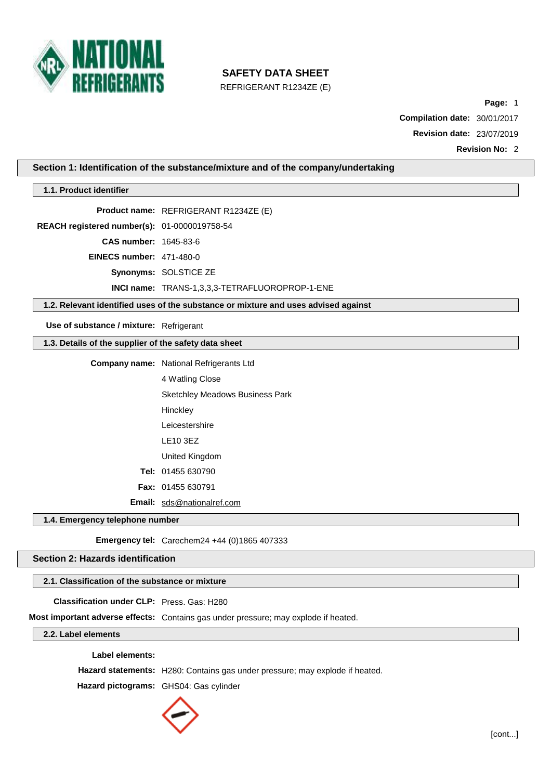

REFRIGERANT R1234ZE (E)

**Page:** 1

**Compilation date:** 30/01/2017

**Revision date:** 23/07/2019

**Revision No:** 2

**Section 1: Identification of the substance/mixture and of the company/undertaking**

# **1.1. Product identifier**

**Product name:** REFRIGERANT R1234ZE (E)

**REACH registered number(s):** 01-0000019758-54

**CAS number:** 1645-83-6

**EINECS number:** 471-480-0

**Synonyms:** SOLSTICE ZE

**INCI name:** TRANS-1,3,3,3-TETRAFLUOROPROP-1-ENE

**1.2. Relevant identified uses of the substance or mixture and uses advised against**

**Use of substance / mixture:** Refrigerant

**1.3. Details of the supplier of the safety data sheet**

**Company name:** National Refrigerants Ltd 4 Watling Close Sketchley Meadows Business Park **Hinckley** Leicestershire LE10 3EZ United Kingdom **Tel:** 01455 630790 **Fax:** 01455 630791 **Email:** [sds@nationalref.com](mailto:sds@nationalref.com)

**1.4. Emergency telephone number**

**Emergency tel:** Carechem24 +44 (0)1865 407333

**Section 2: Hazards identification**

**2.1. Classification of the substance or mixture**

**Classification under CLP:** Press. Gas: H280

**Most important adverse effects:** Contains gas under pressure; may explode if heated.

**2.2. Label elements**

**Label elements:**

**Hazard statements:** H280: Contains gas under pressure; may explode if heated.

**Hazard pictograms:** GHS04: Gas cylinder

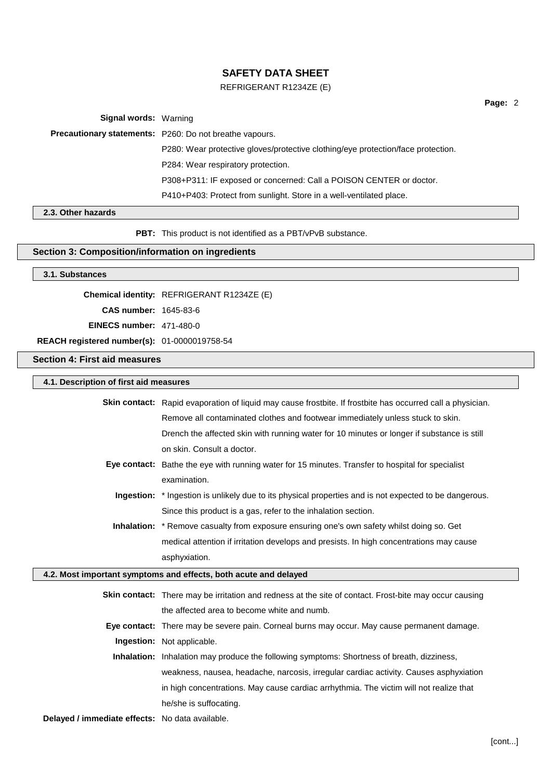### REFRIGERANT R1234ZE (E)

**Page:** 2

**Signal words:** Warning

**Precautionary statements:** P260: Do not breathe vapours.

P280: Wear protective gloves/protective clothing/eye protection/face protection. P284: Wear respiratory protection.

P308+P311: IF exposed or concerned: Call a POISON CENTER or doctor.

P410+P403: Protect from sunlight. Store in a well-ventilated place.

### **2.3. Other hazards**

**PBT:** This product is not identified as a PBT/vPvB substance.

### **Section 3: Composition/information on ingredients**

### **3.1. Substances**

**Chemical identity:** REFRIGERANT R1234ZE (E)

**CAS number:** 1645-83-6

**EINECS number:** 471-480-0

**REACH registered number(s):** 01-0000019758-54

### **Section 4: First aid measures**

### **4.1. Description of first aid measures**

|                            | <b>Skin contact:</b> Rapid evaporation of liquid may cause frostbite. If frostbite has occurred call a physician. |
|----------------------------|-------------------------------------------------------------------------------------------------------------------|
|                            | Remove all contaminated clothes and footwear immediately unless stuck to skin.                                    |
|                            | Drench the affected skin with running water for 10 minutes or longer if substance is still                        |
|                            | on skin. Consult a doctor.                                                                                        |
|                            | Eye contact: Bathe the eye with running water for 15 minutes. Transfer to hospital for specialist                 |
|                            | examination.                                                                                                      |
|                            | Ingestion: * Ingestion is unlikely due to its physical properties and is not expected to be dangerous.            |
|                            | Since this product is a gas, refer to the inhalation section.                                                     |
|                            | <b>Inhalation:</b> * Remove casualty from exposure ensuring one's own safety whilst doing so. Get                 |
|                            | medical attention if irritation develops and presists. In high concentrations may cause                           |
|                            | asphyxiation.                                                                                                     |
|                            | 4.2. Most important symptoms and effects, both acute and delayed                                                  |
|                            | <b>Skin contact:</b> There may be irritation and redness at the site of contact. Frost-bite may occur causing     |
|                            | the affected area to become white and numb.                                                                       |
|                            | Eye contact: There may be severe pain. Corneal burns may occur. May cause permanent damage.                       |
| Ingestion: Not applicable. |                                                                                                                   |
|                            |                                                                                                                   |
|                            | <b>Inhalation:</b> Inhalation may produce the following symptoms: Shortness of breath, dizziness,                 |
|                            | weakness, nausea, headache, narcosis, irregular cardiac activity. Causes asphyxiation                             |
|                            | in high concentrations. May cause cardiac arrhythmia. The victim will not realize that                            |
|                            | he/she is suffocating.                                                                                            |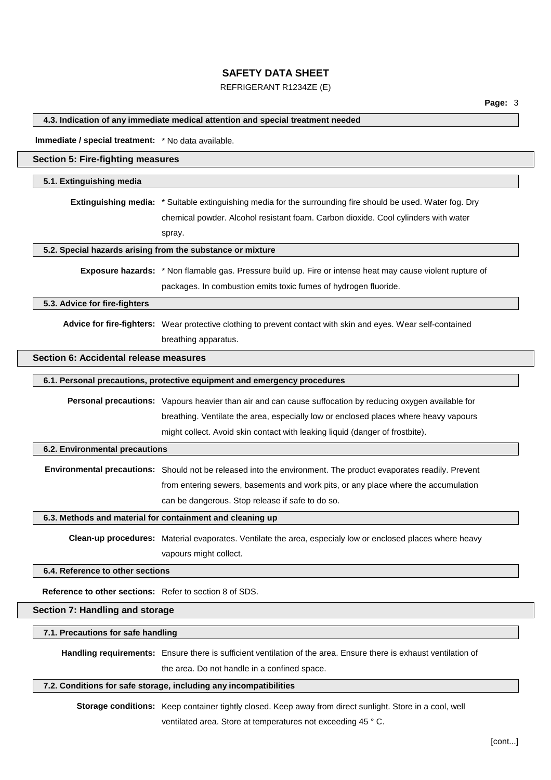### REFRIGERANT R1234ZE (E)

**4.3. Indication of any immediate medical attention and special treatment needed**

**Immediate / special treatment:** \* No data available.

### **Section 5: Fire-fighting measures**

#### **5.1. Extinguishing media**

**Extinguishing media:** \* Suitable extinguishing media for the surrounding fire should be used. Water fog. Dry chemical powder. Alcohol resistant foam. Carbon dioxide. Cool cylinders with water spray.

### **5.2. Special hazards arising from the substance or mixture**

**Exposure hazards:** \* Non flamable gas. Pressure build up. Fire or intense heat may cause violent rupture of packages. In combustion emits toxic fumes of hydrogen fluoride.

#### **5.3. Advice for fire-fighters**

**Advice for fire-fighters:** Wear protective clothing to prevent contact with skin and eyes. Wear self-contained breathing apparatus.

### **Section 6: Accidental release measures**

| <b>Personal precautions:</b> Vapours heavier than air and can cause suffocation by reducing oxygen available for |
|------------------------------------------------------------------------------------------------------------------|
| breathing. Ventilate the area, especially low or enclosed places where heavy vapours                             |
| might collect. Avoid skin contact with leaking liquid (danger of frostbite).                                     |

#### **6.2. Environmental precautions**

**Environmental precautions:** Should not be released into the environment. The product evaporates readily. Prevent from entering sewers, basements and work pits, or any place where the accumulation can be dangerous. Stop release if safe to do so.

#### **6.3. Methods and material for containment and cleaning up**

**Clean-up procedures:** Material evaporates. Ventilate the area, especialy low or enclosed places where heavy vapours might collect.

#### **6.4. Reference to other sections**

**Reference to other sections:** Refer to section 8 of SDS.

#### **Section 7: Handling and storage**

### **7.1. Precautions for safe handling**

**Handling requirements:** Ensure there is sufficient ventilation of the area. Ensure there is exhaust ventilation of

the area. Do not handle in a confined space.

#### **7.2. Conditions for safe storage, including any incompatibilities**

**Storage conditions:** Keep container tightly closed. Keep away from direct sunlight. Store in a cool, well

ventilated area. Store at temperatures not exceeding 45 ° C.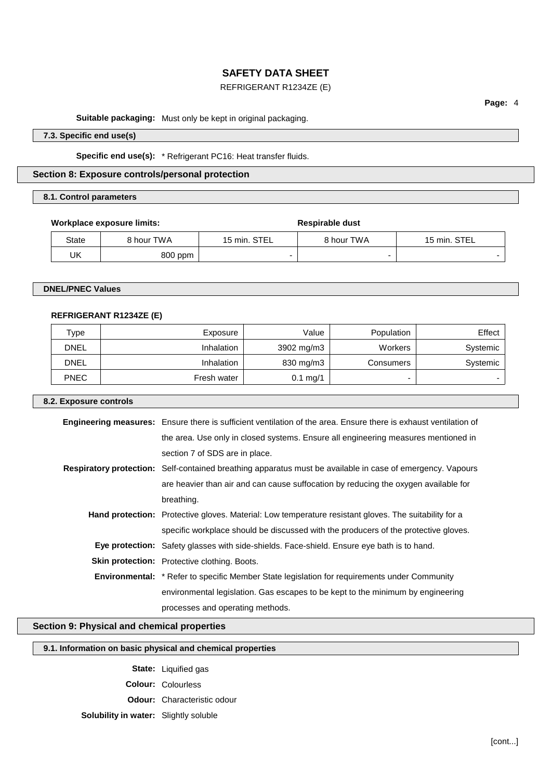### REFRIGERANT R1234ZE (E)

**Suitable packaging:** Must only be kept in original packaging.

**7.3. Specific end use(s)**

**Specific end use(s):** \* Refrigerant PC16: Heat transfer fluids.

**Section 8: Exposure controls/personal protection**

#### **8.1. Control parameters**

### **Workplace** exposure limits: **Respirable** dust

| State | 8 hour TWA | 15 min. STEL | 8 hour TWA | 15 min. STEL             |
|-------|------------|--------------|------------|--------------------------|
| UK    | 800 ppm    |              |            | $\overline{\phantom{0}}$ |

### **DNEL/PNEC Values**

### **REFRIGERANT R1234ZE (E)**

| Type        | Exposure          | Value              | Population | Effect   |
|-------------|-------------------|--------------------|------------|----------|
| <b>DNEL</b> | <b>Inhalation</b> | 3902 mg/m3         | Workers    | Systemic |
| <b>DNEL</b> | <b>Inhalation</b> | 830 mg/m3          | Consumers  | Systemic |
| <b>PNEC</b> | Fresh water       | $0.1 \text{ mg}/1$ | -          |          |

### **8.2. Exposure controls**

| <b>Engineering measures:</b> Ensure there is sufficient ventilation of the area. Ensure there is exhaust ventilation of |
|-------------------------------------------------------------------------------------------------------------------------|
| the area. Use only in closed systems. Ensure all engineering measures mentioned in                                      |
| section 7 of SDS are in place.                                                                                          |
| Respiratory protection: Self-contained breathing apparatus must be available in case of emergency. Vapours              |
| are heavier than air and can cause suffocation by reducing the oxygen available for                                     |
| breathing.                                                                                                              |
| Hand protection: Protective gloves. Material: Low temperature resistant gloves. The suitability for a                   |
| specific workplace should be discussed with the producers of the protective gloves.                                     |
| <b>Eye protection:</b> Safety glasses with side-shields. Face-shield. Ensure eye bath is to hand.                       |
| <b>Skin protection:</b> Protective clothing. Boots.                                                                     |
| <b>Environmental:</b> * Refer to specific Member State legislation for requirements under Community                     |
| environmental legislation. Gas escapes to be kept to the minimum by engineering                                         |
| processes and operating methods.                                                                                        |

### **Section 9: Physical and chemical properties**

|  |  | 9.1. Information on basic physical and chemical properties |
|--|--|------------------------------------------------------------|
|--|--|------------------------------------------------------------|

**State:** Liquified gas **Colour:** Colourless **Odour:** Characteristic odour

### **Solubility in water:** Slightly soluble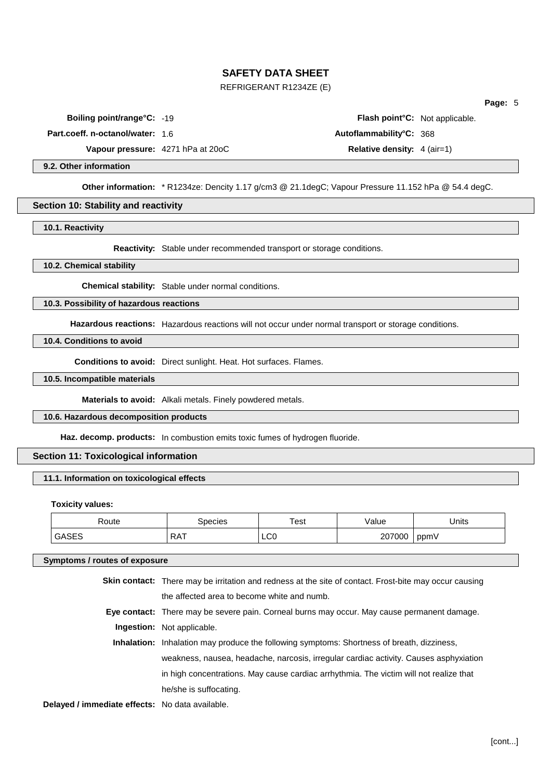### REFRIGERANT R1234ZE (E)

**Part.coeff. n-octanol/water:** 1.6 **Autoflammability°C:** 368

**Boiling point/range°C:** -19 **Flash point°C:** Not applicable.

**Vapour pressure:** 4271 hPa at 20oC **Relative density:** 4 (air=1)

### **9.2. Other information**

**Other information:** \* R1234ze: Dencity 1.17 g/cm3 @ 21.1degC; Vapour Pressure 11.152 hPa @ 54.4 degC.

#### **Section 10: Stability and reactivity**

**10.1. Reactivity**

**Reactivity:** Stable under recommended transport or storage conditions.

**10.2. Chemical stability**

**Chemical stability:** Stable under normal conditions.

#### **10.3. Possibility of hazardous reactions**

**Hazardous reactions:** Hazardous reactions will not occur under normal transport or storage conditions.

**10.4. Conditions to avoid**

**Conditions to avoid:** Direct sunlight. Heat. Hot surfaces. Flames.

**10.5. Incompatible materials**

**Materials to avoid:** Alkali metals. Finely powdered metals.

**10.6. Hazardous decomposition products**

**Haz. decomp. products:** In combustion emits toxic fumes of hydrogen fluoride.

### **Section 11: Toxicological information**

### **11.1. Information on toxicological effects**

**Toxicity values:**

| ിറute | ipecies                  | Test             | 'alue     | Units |
|-------|--------------------------|------------------|-----------|-------|
|       | <b>DAT</b><br>$\sqrt{2}$ | $\mathsf{LCO}^-$ | uuu<br>zu | ppmV  |

#### **Symptoms / routes of exposure**

|                                                 | <b>Skin contact:</b> There may be irritation and redness at the site of contact. Frost-bite may occur causing |
|-------------------------------------------------|---------------------------------------------------------------------------------------------------------------|
|                                                 | the affected area to become white and numb.                                                                   |
|                                                 | Eye contact: There may be severe pain. Corneal burns may occur. May cause permanent damage.                   |
|                                                 | <b>Ingestion:</b> Not applicable.                                                                             |
|                                                 | Inhalation: Inhalation may produce the following symptoms: Shortness of breath, dizziness,                    |
|                                                 | weakness, nausea, headache, narcosis, irregular cardiac activity. Causes asphyxiation                         |
|                                                 | in high concentrations. May cause cardiac arrhythmia. The victim will not realize that                        |
|                                                 | he/she is suffocating.                                                                                        |
| Delayed / immediate effects: No data available. |                                                                                                               |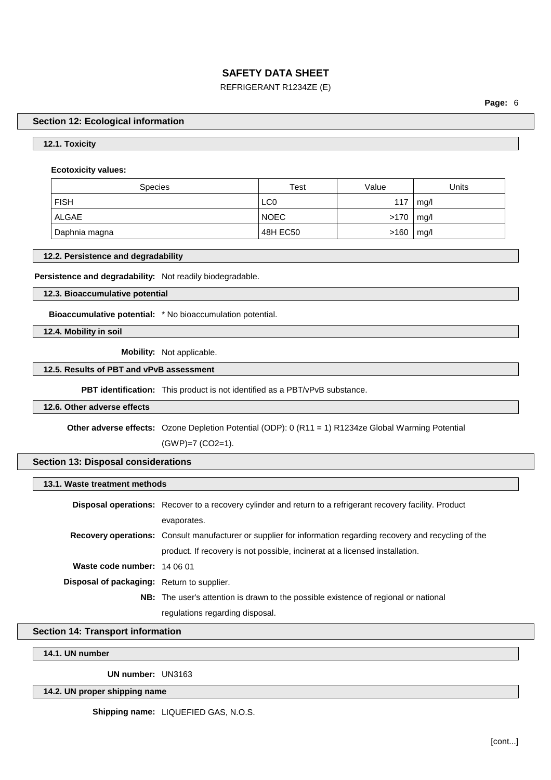### REFRIGERANT R1234ZE (E)

**Page:** 6

### **Section 12: Ecological information**

### **12.1. Toxicity**

### **Ecotoxicity values:**

| <b>Species</b> | Test            | Value         | Units |
|----------------|-----------------|---------------|-------|
| <b>FISH</b>    | LC <sub>0</sub> | 117           | mq/l  |
| ALGAE          | <b>NOEC</b>     | $>170$   mg/l |       |
| Daphnia magna  | 48H EC50        | >160          | mg/l  |

### **12.2. Persistence and degradability**

**Persistence and degradability:** Not readily biodegradable.

#### **12.3. Bioaccumulative potential**

**Bioaccumulative potential:** \* No bioaccumulation potential.

**12.4. Mobility in soil**

**Mobility:** Not applicable.

### **12.5. Results of PBT and vPvB assessment**

**PBT identification:** This product is not identified as a PBT/vPvB substance.

#### **12.6. Other adverse effects**

**Other adverse effects:** Ozone Depletion Potential (ODP): 0 (R11 = 1) R1234ze Global Warming Potential

(GWP)=7 (CO2=1).

### **Section 13: Disposal considerations**

### **13.1. Waste treatment methods**

|                                                   | <b>Disposal operations:</b> Recover to a recovery cylinder and return to a refrigerant recovery facility. Product    |
|---------------------------------------------------|----------------------------------------------------------------------------------------------------------------------|
|                                                   | evaporates.                                                                                                          |
|                                                   | <b>Recovery operations:</b> Consult manufacturer or supplier for information regarding recovery and recycling of the |
|                                                   | product. If recovery is not possible, incinerat at a licensed installation.                                          |
| Waste code number: 14 06 01                       |                                                                                                                      |
| <b>Disposal of packaging:</b> Return to supplier. |                                                                                                                      |
|                                                   | <b>NB:</b> The user's attention is drawn to the possible existence of regional or national                           |
|                                                   | regulations regarding disposal.                                                                                      |

### **Section 14: Transport information**

### **14.1. UN number**

**UN number:** UN3163

### **14.2. UN proper shipping name**

**Shipping name:** LIQUEFIED GAS, N.O.S.